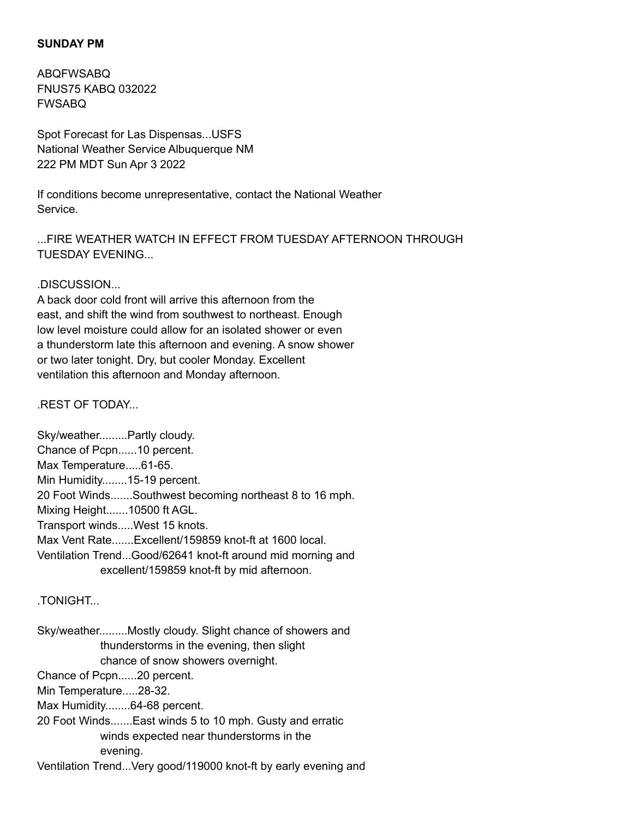#### **SUNDAY PM**

ABQFWSABQ FNUS75 KABQ 032022 FWSABQ

Spot Forecast for Las Dispensas...USFS National Weather Service Albuquerque NM 222 PM MDT Sun Apr 3 2022

If conditions become unrepresentative, contact the National Weather Service.

...FIRE WEATHER WATCH IN EFFECT FROM TUESDAY AFTERNOON THROUGH TUESDAY EVENING...

#### .DISCUSSION...

A back door cold front will arrive this afternoon from the east, and shift the wind from southwest to northeast. Enough low level moisture could allow for an isolated shower or even a thunderstorm late this afternoon and evening. A snow shower or two later tonight. Dry, but cooler Monday. Excellent ventilation this afternoon and Monday afternoon.

.REST OF TODAY...

Sky/weather.........Partly cloudy. Chance of Pcpn......10 percent. Max Temperature.....61-65. Min Humidity........15-19 percent. 20 Foot Winds.......Southwest becoming northeast 8 to 16 mph. Mixing Height.......10500 ft AGL. Transport winds.....West 15 knots. Max Vent Rate.......Excellent/159859 knot-ft at 1600 local. Ventilation Trend...Good/62641 knot-ft around mid morning and excellent/159859 knot-ft by mid afternoon.

### **TONIGHT**

Sky/weather.........Mostly cloudy. Slight chance of showers and thunderstorms in the evening, then slight chance of snow showers overnight.

Chance of Pcpn......20 percent.

Min Temperature.....28-32.

Max Humidity........64-68 percent.

20 Foot Winds.......East winds 5 to 10 mph. Gusty and erratic winds expected near thunderstorms in the evening.

Ventilation Trend...Very good/119000 knot-ft by early evening and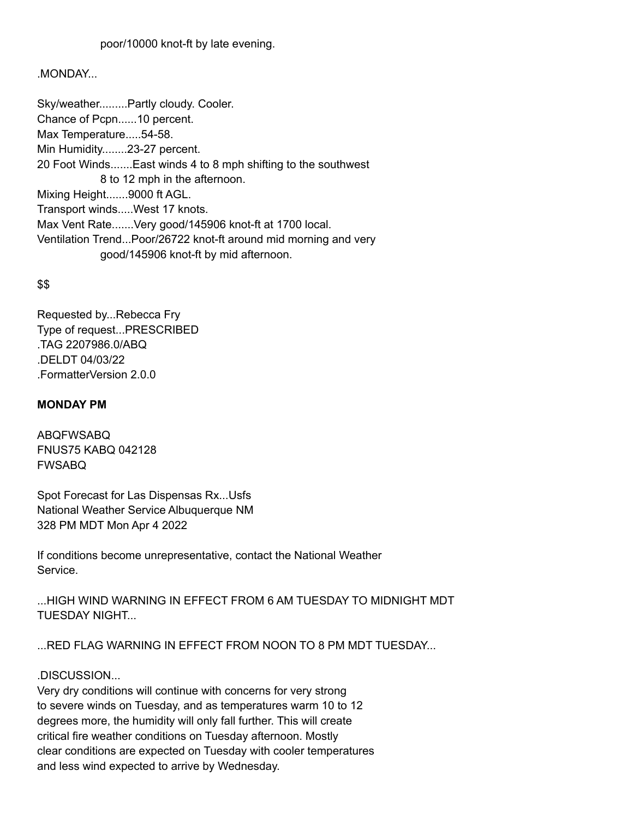### .MONDAY...

Sky/weather.........Partly cloudy. Cooler. Chance of Pcpn......10 percent. Max Temperature.....54-58. Min Humidity........23-27 percent. 20 Foot Winds.......East winds 4 to 8 mph shifting to the southwest 8 to 12 mph in the afternoon. Mixing Height.......9000 ft AGL. Transport winds.....West 17 knots. Max Vent Rate.......Very good/145906 knot-ft at 1700 local. Ventilation Trend...Poor/26722 knot-ft around mid morning and very good/145906 knot-ft by mid afternoon.

## \$\$

Requested by...Rebecca Fry Type of request...PRESCRIBED .TAG 2207986.0/ABQ .DELDT 04/03/22 .FormatterVersion 2.0.0

### **MONDAY PM**

ABQFWSABQ FNUS75 KABQ 042128 FWSABQ

Spot Forecast for Las Dispensas Rx...Usfs National Weather Service Albuquerque NM 328 PM MDT Mon Apr 4 2022

If conditions become unrepresentative, contact the National Weather Service.

...HIGH WIND WARNING IN EFFECT FROM 6 AM TUESDAY TO MIDNIGHT MDT TUESDAY NIGHT...

...RED FLAG WARNING IN EFFECT FROM NOON TO 8 PM MDT TUESDAY...

# .DISCUSSION...

Very dry conditions will continue with concerns for very strong to severe winds on Tuesday, and as temperatures warm 10 to 12 degrees more, the humidity will only fall further. This will create critical fire weather conditions on Tuesday afternoon. Mostly clear conditions are expected on Tuesday with cooler temperatures and less wind expected to arrive by Wednesday.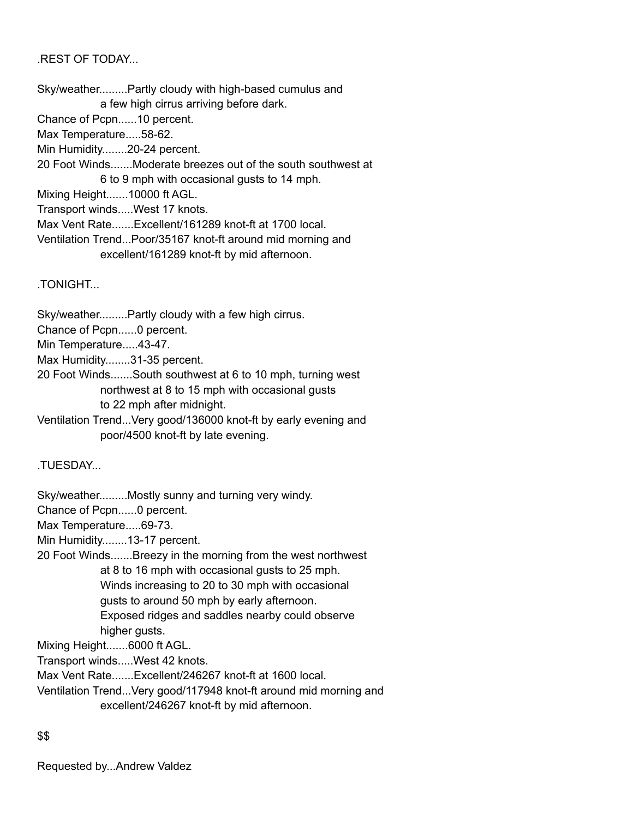.REST OF TODAY...

Sky/weather.........Partly cloudy with high-based cumulus and a few high cirrus arriving before dark. Chance of Pcpn......10 percent. Max Temperature.....58-62. Min Humidity........20-24 percent. 20 Foot Winds.......Moderate breezes out of the south southwest at 6 to 9 mph with occasional gusts to 14 mph. Mixing Height.......10000 ft AGL. Transport winds.....West 17 knots.

Max Vent Rate.......Excellent/161289 knot-ft at 1700 local.

Ventilation Trend...Poor/35167 knot-ft around mid morning and excellent/161289 knot-ft by mid afternoon.

.TONIGHT...

Sky/weather.........Partly cloudy with a few high cirrus.

Chance of Pcpn......0 percent.

Min Temperature.....43-47.

Max Humidity........31-35 percent.

20 Foot Winds.......South southwest at 6 to 10 mph, turning west northwest at 8 to 15 mph with occasional gusts to 22 mph after midnight.

Ventilation Trend...Very good/136000 knot-ft by early evening and poor/4500 knot-ft by late evening.

.TUESDAY...

Sky/weather.........Mostly sunny and turning very windy.

Chance of Pcpn......0 percent.

Max Temperature.....69-73.

Min Humidity........13-17 percent.

20 Foot Winds.......Breezy in the morning from the west northwest

at 8 to 16 mph with occasional gusts to 25 mph.

Winds increasing to 20 to 30 mph with occasional

gusts to around 50 mph by early afternoon.

Exposed ridges and saddles nearby could observe higher gusts.

Mixing Height.......6000 ft AGL.

Transport winds.....West 42 knots.

Max Vent Rate.......Excellent/246267 knot-ft at 1600 local.

Ventilation Trend...Very good/117948 knot-ft around mid morning and excellent/246267 knot-ft by mid afternoon.

# \$\$

Requested by...Andrew Valdez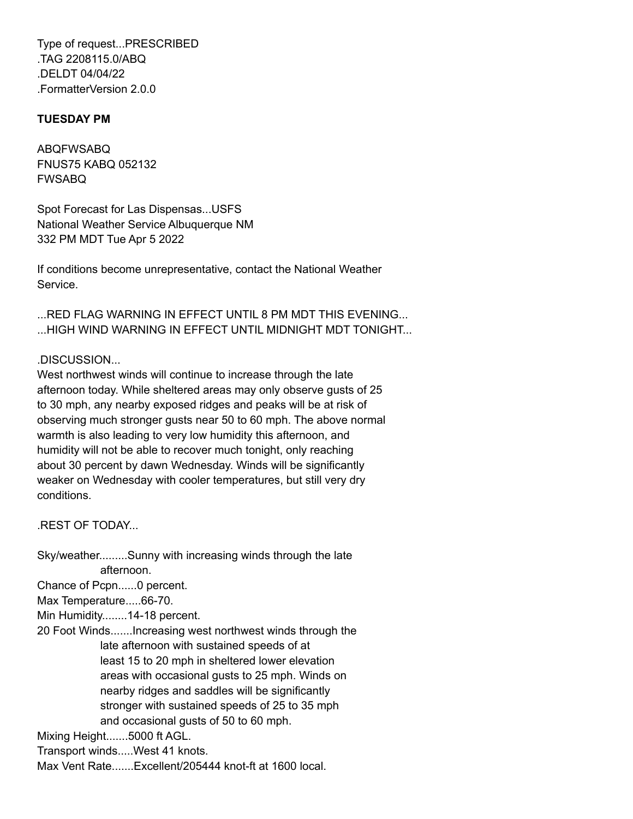Type of request...PRESCRIBED .TAG 2208115.0/ABQ .DELDT 04/04/22 .FormatterVersion 2.0.0

### **TUESDAY PM**

ABQFWSABQ FNUS75 KABQ 052132 FWSABQ

Spot Forecast for Las Dispensas...USFS National Weather Service Albuquerque NM 332 PM MDT Tue Apr 5 2022

If conditions become unrepresentative, contact the National Weather Service.

...RED FLAG WARNING IN EFFECT UNTIL 8 PM MDT THIS EVENING... ...HIGH WIND WARNING IN EFFECT UNTIL MIDNIGHT MDT TONIGHT...

## .DISCUSSION...

West northwest winds will continue to increase through the late afternoon today. While sheltered areas may only observe gusts of 25 to 30 mph, any nearby exposed ridges and peaks will be at risk of observing much stronger gusts near 50 to 60 mph. The above normal warmth is also leading to very low humidity this afternoon, and humidity will not be able to recover much tonight, only reaching about 30 percent by dawn Wednesday. Winds will be significantly weaker on Wednesday with cooler temperatures, but still very dry conditions.

.REST OF TODAY...

Sky/weather.........Sunny with increasing winds through the late afternoon.

Chance of Pcpn......0 percent.

Max Temperature.....66-70.

Min Humidity........14-18 percent.

20 Foot Winds.......Increasing west northwest winds through the late afternoon with sustained speeds of at least 15 to 20 mph in sheltered lower elevation areas with occasional gusts to 25 mph. Winds on nearby ridges and saddles will be significantly stronger with sustained speeds of 25 to 35 mph and occasional gusts of 50 to 60 mph.

Mixing Height.......5000 ft AGL.

Transport winds.....West 41 knots.

Max Vent Rate.......Excellent/205444 knot-ft at 1600 local.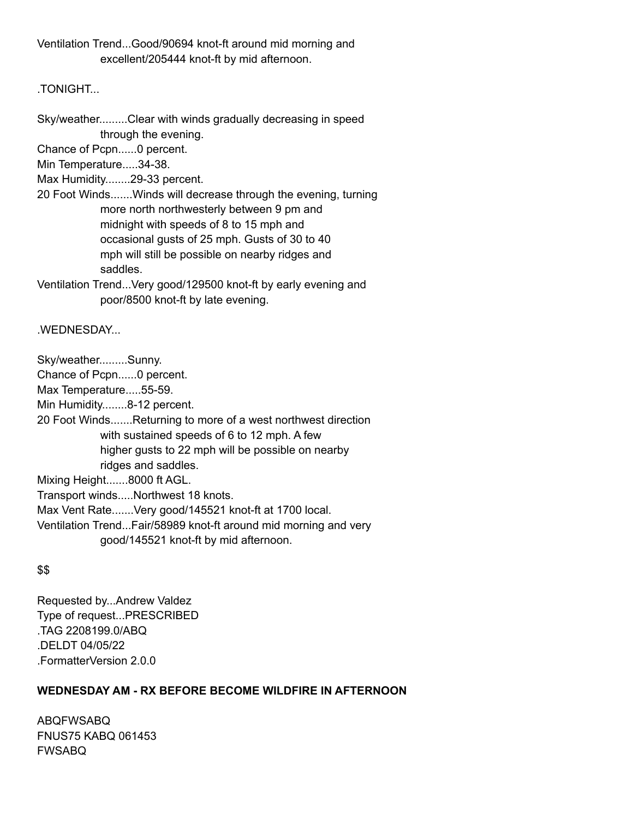Ventilation Trend...Good/90694 knot-ft around mid morning and excellent/205444 knot-ft by mid afternoon.

.TONIGHT...

Sky/weather.........Clear with winds gradually decreasing in speed through the evening.

Chance of Pcpn......0 percent.

Min Temperature.....34-38.

Max Humidity........29-33 percent.

20 Foot Winds.......Winds will decrease through the evening, turning more north northwesterly between 9 pm and midnight with speeds of 8 to 15 mph and occasional gusts of 25 mph. Gusts of 30 to 40 mph will still be possible on nearby ridges and saddles.

Ventilation Trend...Very good/129500 knot-ft by early evening and poor/8500 knot-ft by late evening.

.WEDNESDAY...

Sky/weather.........Sunny.

Chance of Pcpn......0 percent.

Max Temperature.....55-59.

Min Humidity........8-12 percent.

20 Foot Winds.......Returning to more of a west northwest direction with sustained speeds of 6 to 12 mph. A few higher gusts to 22 mph will be possible on nearby ridges and saddles.

Mixing Height.......8000 ft AGL.

Transport winds.....Northwest 18 knots.

Max Vent Rate.......Very good/145521 knot-ft at 1700 local.

Ventilation Trend...Fair/58989 knot-ft around mid morning and very

good/145521 knot-ft by mid afternoon.

# \$\$

Requested by...Andrew Valdez Type of request...PRESCRIBED .TAG 2208199.0/ABQ .DELDT 04/05/22 .FormatterVersion 2.0.0

# **WEDNESDAY AM - RX BEFORE BECOME WILDFIRE IN AFTERNOON**

ABQFWSABQ FNUS75 KABQ 061453 FWSABQ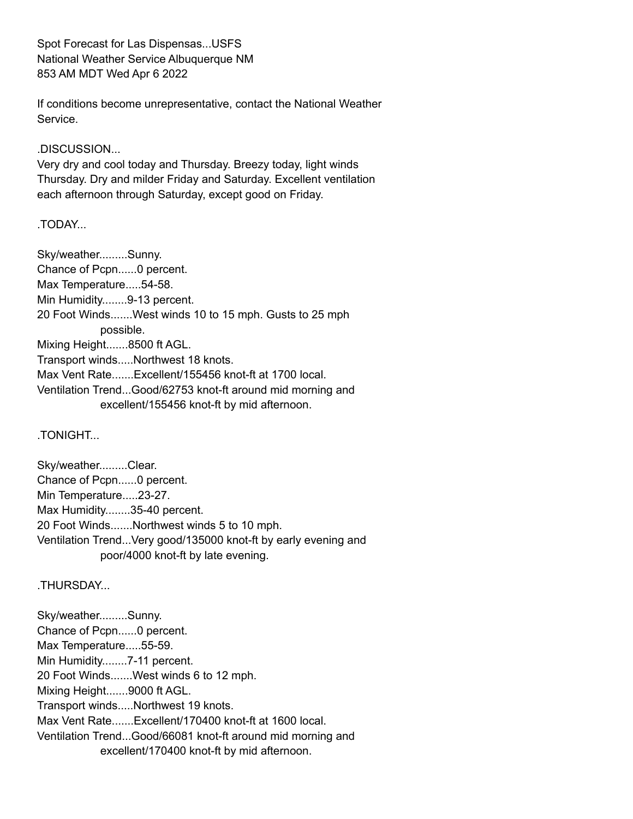Spot Forecast for Las Dispensas...USFS National Weather Service Albuquerque NM 853 AM MDT Wed Apr 6 2022

If conditions become unrepresentative, contact the National Weather Service.

.DISCUSSION...

Very dry and cool today and Thursday. Breezy today, light winds Thursday. Dry and milder Friday and Saturday. Excellent ventilation each afternoon through Saturday, except good on Friday.

.TODAY...

Sky/weather.........Sunny. Chance of Pcpn......0 percent. Max Temperature.....54-58. Min Humidity........9-13 percent. 20 Foot Winds.......West winds 10 to 15 mph. Gusts to 25 mph possible. Mixing Height.......8500 ft AGL. Transport winds.....Northwest 18 knots. Max Vent Rate.......Excellent/155456 knot-ft at 1700 local. Ventilation Trend...Good/62753 knot-ft around mid morning and excellent/155456 knot-ft by mid afternoon.

.TONIGHT...

Sky/weather.........Clear. Chance of Pcpn......0 percent. Min Temperature.....23-27. Max Humidity........35-40 percent. 20 Foot Winds.......Northwest winds 5 to 10 mph. Ventilation Trend...Very good/135000 knot-ft by early evening and poor/4000 knot-ft by late evening.

.THURSDAY...

Sky/weather.........Sunny. Chance of Pcpn......0 percent. Max Temperature.....55-59. Min Humidity........7-11 percent. 20 Foot Winds.......West winds 6 to 12 mph. Mixing Height.......9000 ft AGL. Transport winds.....Northwest 19 knots. Max Vent Rate.......Excellent/170400 knot-ft at 1600 local. Ventilation Trend...Good/66081 knot-ft around mid morning and excellent/170400 knot-ft by mid afternoon.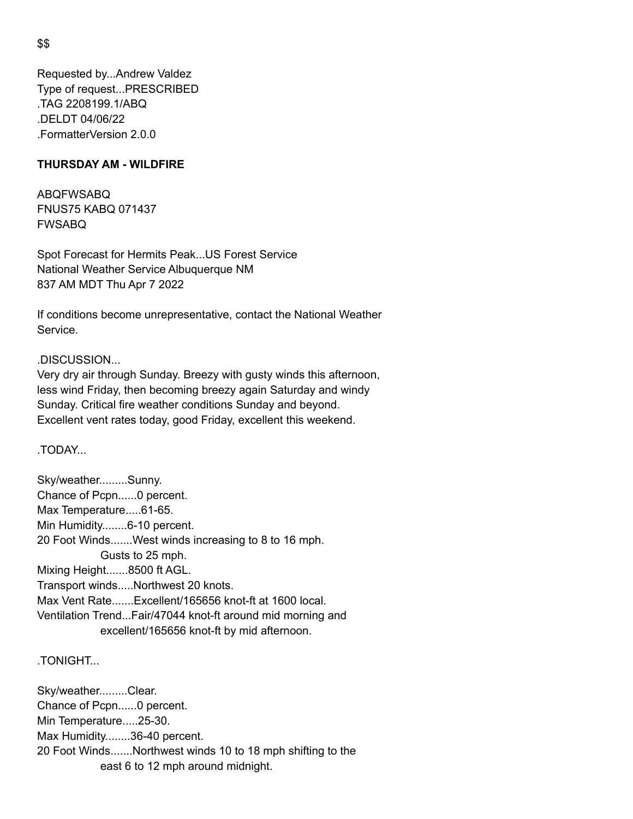Requested by...Andrew Valdez Type of request...PRESCRIBED .TAG 2208199.1/ABQ .DELDT 04/06/22 .FormatterVersion 2.0.0

#### **THURSDAY AM - WILDFIRE**

ABQFWSABQ FNUS75 KABQ 071437 FWSABQ

Spot Forecast for Hermits Peak...US Forest Service National Weather Service Albuquerque NM 837 AM MDT Thu Apr 7 2022

If conditions become unrepresentative, contact the National Weather Service.

### .DISCUSSION...

Very dry air through Sunday. Breezy with gusty winds this afternoon, less wind Friday, then becoming breezy again Saturday and windy Sunday. Critical fire weather conditions Sunday and beyond. Excellent vent rates today, good Friday, excellent this weekend.

.TODAY...

Sky/weather.........Sunny. Chance of Pcpn......0 percent. Max Temperature.....61-65. Min Humidity........6-10 percent. 20 Foot Winds.......West winds increasing to 8 to 16 mph. Gusts to 25 mph. Mixing Height.......8500 ft AGL. Transport winds.....Northwest 20 knots. Max Vent Rate.......Excellent/165656 knot-ft at 1600 local. Ventilation Trend...Fair/47044 knot-ft around mid morning and excellent/165656 knot-ft by mid afternoon.

.TONIGHT...

Sky/weather.........Clear. Chance of Pcpn......0 percent. Min Temperature.....25-30. Max Humidity........36-40 percent. 20 Foot Winds.......Northwest winds 10 to 18 mph shifting to the east 6 to 12 mph around midnight.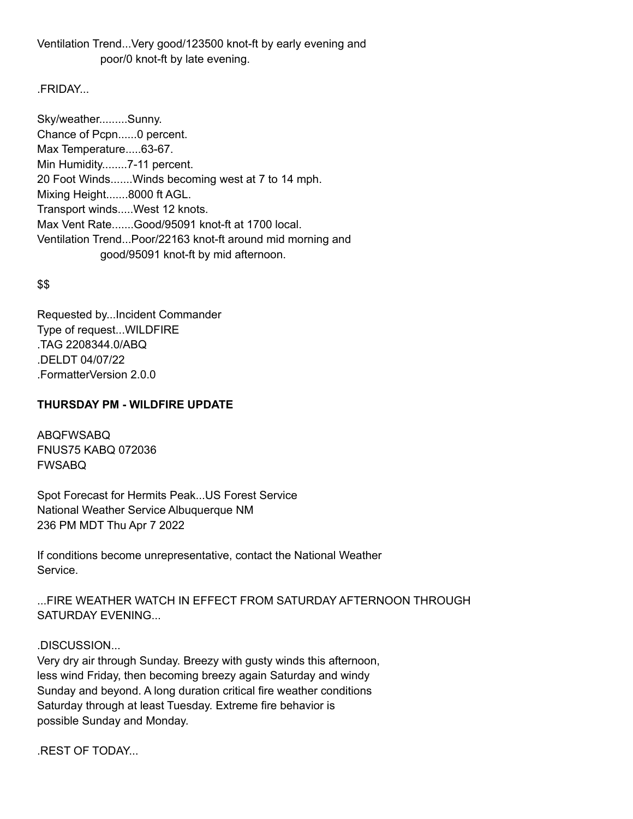## Ventilation Trend...Very good/123500 knot-ft by early evening and poor/0 knot-ft by late evening.

# .FRIDAY...

Sky/weather.........Sunny. Chance of Pcpn......0 percent. Max Temperature.....63-67. Min Humidity........7-11 percent. 20 Foot Winds.......Winds becoming west at 7 to 14 mph. Mixing Height.......8000 ft AGL. Transport winds.....West 12 knots. Max Vent Rate.......Good/95091 knot-ft at 1700 local. Ventilation Trend...Poor/22163 knot-ft around mid morning and good/95091 knot-ft by mid afternoon.

# \$\$

Requested by...Incident Commander Type of request...WILDFIRE .TAG 2208344.0/ABQ .DELDT 04/07/22 .FormatterVersion 2.0.0

# **THURSDAY PM - WILDFIRE UPDATE**

ABQFWSABQ FNUS75 KABQ 072036 FWSABQ

Spot Forecast for Hermits Peak...US Forest Service National Weather Service Albuquerque NM 236 PM MDT Thu Apr 7 2022

If conditions become unrepresentative, contact the National Weather Service.

...FIRE WEATHER WATCH IN EFFECT FROM SATURDAY AFTERNOON THROUGH SATURDAY EVENING...

# .DISCUSSION...

Very dry air through Sunday. Breezy with gusty winds this afternoon, less wind Friday, then becoming breezy again Saturday and windy Sunday and beyond. A long duration critical fire weather conditions Saturday through at least Tuesday. Extreme fire behavior is possible Sunday and Monday.

.REST OF TODAY...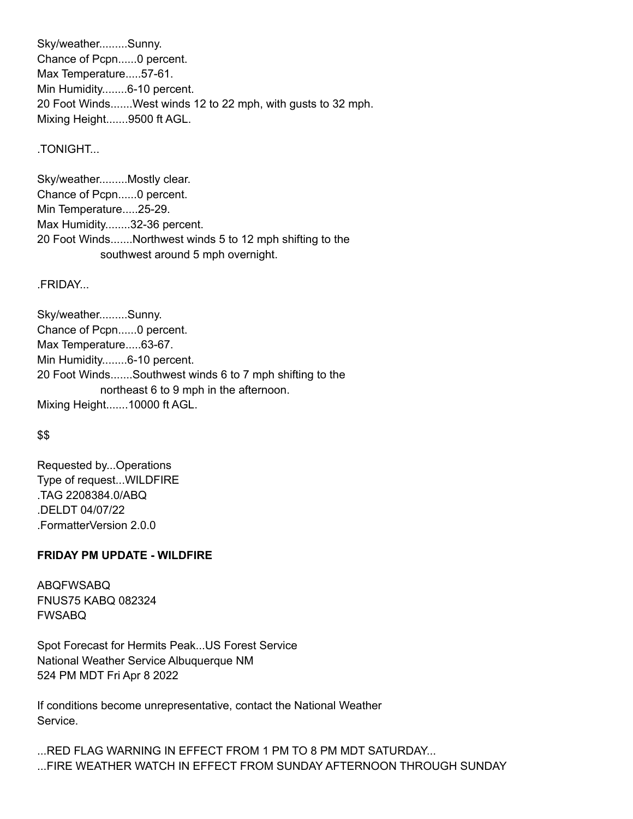Sky/weather.........Sunny. Chance of Pcpn......0 percent. Max Temperature.....57-61. Min Humidity........6-10 percent. 20 Foot Winds.......West winds 12 to 22 mph, with gusts to 32 mph. Mixing Height.......9500 ft AGL.

#### .TONIGHT...

Sky/weather.........Mostly clear. Chance of Pcpn......0 percent. Min Temperature.....25-29. Max Humidity........32-36 percent. 20 Foot Winds.......Northwest winds 5 to 12 mph shifting to the southwest around 5 mph overnight.

.FRIDAY...

Sky/weather.........Sunny. Chance of Pcpn......0 percent. Max Temperature.....63-67. Min Humidity........6-10 percent. 20 Foot Winds.......Southwest winds 6 to 7 mph shifting to the northeast 6 to 9 mph in the afternoon. Mixing Height.......10000 ft AGL.

#### \$\$

Requested by...Operations Type of request...WILDFIRE .TAG 2208384.0/ABQ .DELDT 04/07/22 .FormatterVersion 2.0.0

#### **FRIDAY PM UPDATE - WILDFIRE**

ABQFWSABQ FNUS75 KABQ 082324 FWSABQ

Spot Forecast for Hermits Peak...US Forest Service National Weather Service Albuquerque NM 524 PM MDT Fri Apr 8 2022

If conditions become unrepresentative, contact the National Weather Service.

...RED FLAG WARNING IN EFFECT FROM 1 PM TO 8 PM MDT SATURDAY... ...FIRE WEATHER WATCH IN EFFECT FROM SUNDAY AFTERNOON THROUGH SUNDAY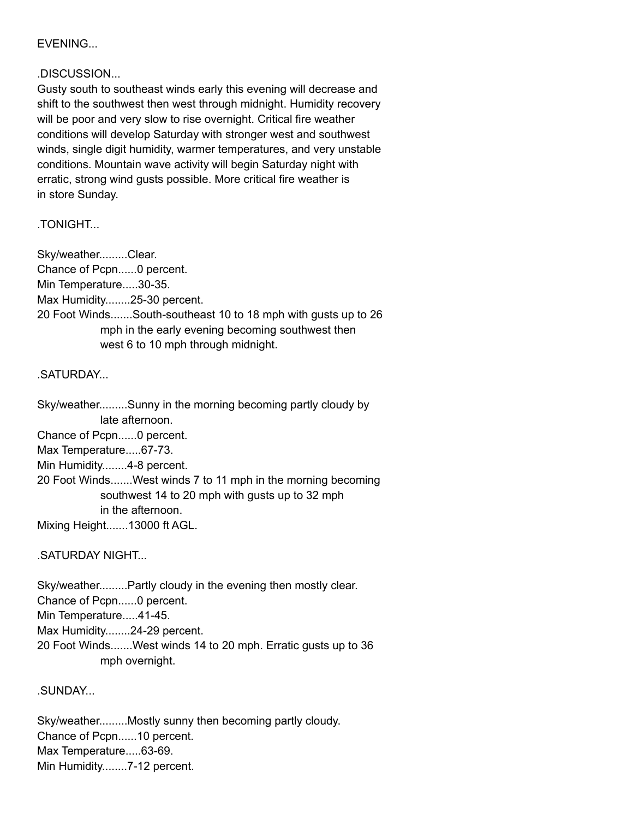## EVENING...

### .DISCUSSION...

Gusty south to southeast winds early this evening will decrease and shift to the southwest then west through midnight. Humidity recovery will be poor and very slow to rise overnight. Critical fire weather conditions will develop Saturday with stronger west and southwest winds, single digit humidity, warmer temperatures, and very unstable conditions. Mountain wave activity will begin Saturday night with erratic, strong wind gusts possible. More critical fire weather is in store Sunday.

**TONIGHT** 

Sky/weather.........Clear. Chance of Pcpn......0 percent. Min Temperature.....30-35. Max Humidity........25-30 percent. 20 Foot Winds.......South-southeast 10 to 18 mph with gusts up to 26 mph in the early evening becoming southwest then west 6 to 10 mph through midnight.

### .SATURDAY...

Sky/weather.........Sunny in the morning becoming partly cloudy by late afternoon. Chance of Pcpn......0 percent. Max Temperature.....67-73. Min Humidity........4-8 percent. 20 Foot Winds.......West winds 7 to 11 mph in the morning becoming southwest 14 to 20 mph with gusts up to 32 mph in the afternoon.

Mixing Height.......13000 ft AGL.

### .SATURDAY NIGHT...

Sky/weather.........Partly cloudy in the evening then mostly clear. Chance of Pcpn......0 percent. Min Temperature.....41-45. Max Humidity........24-29 percent. 20 Foot Winds.......West winds 14 to 20 mph. Erratic gusts up to 36

mph overnight.

.SUNDAY...

Sky/weather.........Mostly sunny then becoming partly cloudy. Chance of Pcpn......10 percent. Max Temperature.....63-69. Min Humidity........7-12 percent.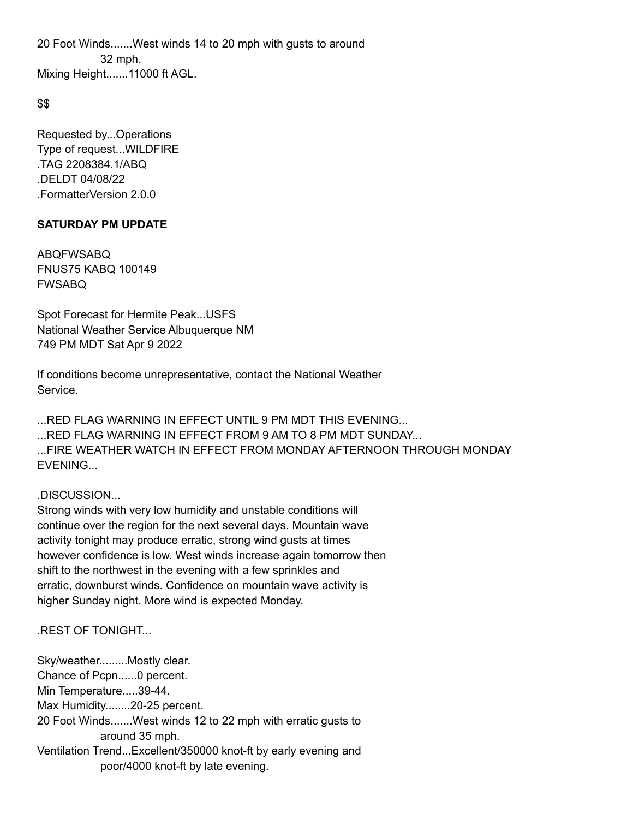20 Foot Winds.......West winds 14 to 20 mph with gusts to around 32 mph. Mixing Height.......11000 ft AGL.

### \$\$

Requested by...Operations Type of request...WILDFIRE .TAG 2208384.1/ABQ .DELDT 04/08/22 .FormatterVersion 2.0.0

# **SATURDAY PM UPDATE**

ABQFWSABQ FNUS75 KABQ 100149 FWSABQ

Spot Forecast for Hermite Peak...USFS National Weather Service Albuquerque NM 749 PM MDT Sat Apr 9 2022

If conditions become unrepresentative, contact the National Weather Service.

...RED FLAG WARNING IN EFFECT UNTIL 9 PM MDT THIS EVENING... ...RED FLAG WARNING IN EFFECT FROM 9 AM TO 8 PM MDT SUNDAY... ...FIRE WEATHER WATCH IN EFFECT FROM MONDAY AFTERNOON THROUGH MONDAY **EVENING.** 

# .DISCUSSION...

Strong winds with very low humidity and unstable conditions will continue over the region for the next several days. Mountain wave activity tonight may produce erratic, strong wind gusts at times however confidence is low. West winds increase again tomorrow then shift to the northwest in the evening with a few sprinkles and erratic, downburst winds. Confidence on mountain wave activity is higher Sunday night. More wind is expected Monday.

# .REST OF TONIGHT...

Sky/weather.........Mostly clear. Chance of Pcpn......0 percent. Min Temperature.....39-44. Max Humidity........20-25 percent. 20 Foot Winds.......West winds 12 to 22 mph with erratic gusts to around 35 mph. Ventilation Trend...Excellent/350000 knot-ft by early evening and poor/4000 knot-ft by late evening.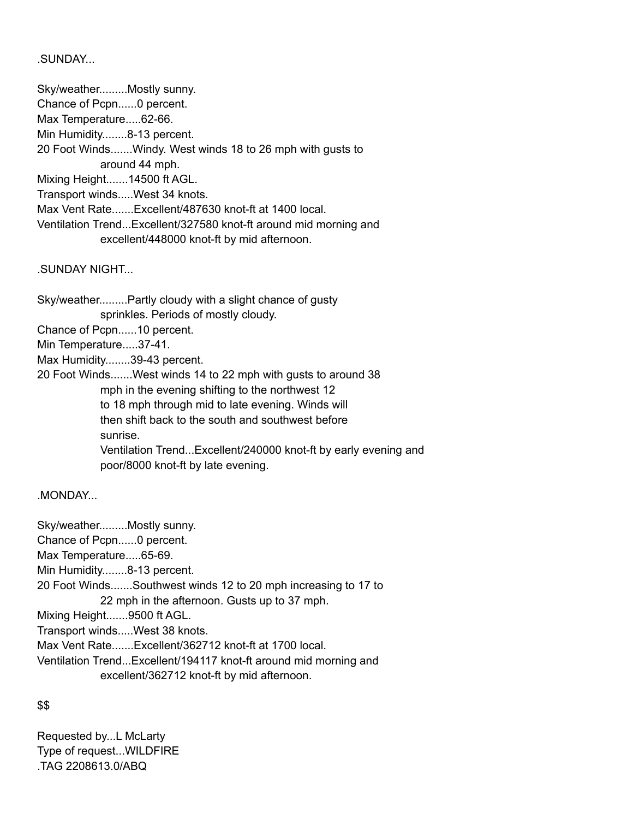### .SUNDAY...

Sky/weather.........Mostly sunny.

Chance of Pcpn......0 percent.

Max Temperature.....62-66.

Min Humidity........8-13 percent.

20 Foot Winds.......Windy. West winds 18 to 26 mph with gusts to

around 44 mph.

Mixing Height.......14500 ft AGL.

Transport winds.....West 34 knots.

Max Vent Rate.......Excellent/487630 knot-ft at 1400 local.

Ventilation Trend...Excellent/327580 knot-ft around mid morning and excellent/448000 knot-ft by mid afternoon.

.SUNDAY NIGHT...

Sky/weather.........Partly cloudy with a slight chance of gusty sprinkles. Periods of mostly cloudy. Chance of Pcpn......10 percent. Min Temperature.....37-41.

Max Humidity........39-43 percent.

20 Foot Winds.......West winds 14 to 22 mph with gusts to around 38 mph in the evening shifting to the northwest 12 to 18 mph through mid to late evening. Winds will then shift back to the south and southwest before sunrise. Ventilation Trend...Excellent/240000 knot-ft by early evening and poor/8000 knot-ft by late evening.

.MONDAY...

Sky/weather.........Mostly sunny. Chance of Pcpn......0 percent. Max Temperature.....65-69. Min Humidity........8-13 percent. 20 Foot Winds.......Southwest winds 12 to 20 mph increasing to 17 to 22 mph in the afternoon. Gusts up to 37 mph. Mixing Height.......9500 ft AGL. Transport winds.....West 38 knots. Max Vent Rate.......Excellent/362712 knot-ft at 1700 local. Ventilation Trend...Excellent/194117 knot-ft around mid morning and excellent/362712 knot-ft by mid afternoon.

# \$\$

Requested by...L McLarty Type of request...WILDFIRE .TAG 2208613.0/ABQ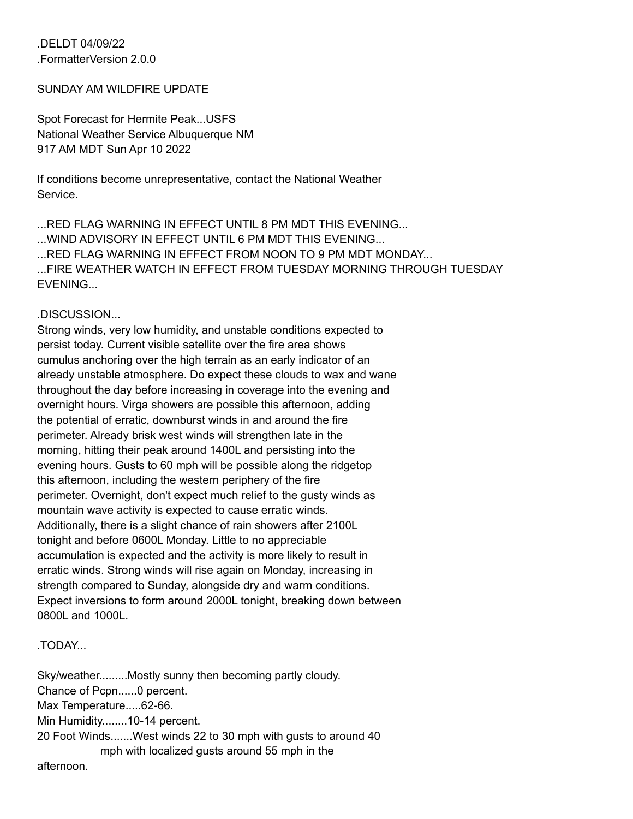.DELDT 04/09/22 .FormatterVersion 2.0.0

#### SUNDAY AM WILDFIRE UPDATE

Spot Forecast for Hermite Peak...USFS National Weather Service Albuquerque NM 917 AM MDT Sun Apr 10 2022

If conditions become unrepresentative, contact the National Weather Service.

...RED FLAG WARNING IN EFFECT UNTIL 8 PM MDT THIS EVENING... ...WIND ADVISORY IN EFFECT UNTIL 6 PM MDT THIS EVENING... ...RED FLAG WARNING IN EFFECT FROM NOON TO 9 PM MDT MONDAY... ...FIRE WEATHER WATCH IN EFFECT FROM TUESDAY MORNING THROUGH TUESDAY EVENING...

#### .DISCUSSION...

Strong winds, very low humidity, and unstable conditions expected to persist today. Current visible satellite over the fire area shows cumulus anchoring over the high terrain as an early indicator of an already unstable atmosphere. Do expect these clouds to wax and wane throughout the day before increasing in coverage into the evening and overnight hours. Virga showers are possible this afternoon, adding the potential of erratic, downburst winds in and around the fire perimeter. Already brisk west winds will strengthen late in the morning, hitting their peak around 1400L and persisting into the evening hours. Gusts to 60 mph will be possible along the ridgetop this afternoon, including the western periphery of the fire perimeter. Overnight, don't expect much relief to the gusty winds as mountain wave activity is expected to cause erratic winds. Additionally, there is a slight chance of rain showers after 2100L tonight and before 0600L Monday. Little to no appreciable accumulation is expected and the activity is more likely to result in erratic winds. Strong winds will rise again on Monday, increasing in strength compared to Sunday, alongside dry and warm conditions. Expect inversions to form around 2000L tonight, breaking down between 0800L and 1000L.

### .TODAY...

Sky/weather.........Mostly sunny then becoming partly cloudy. Chance of Pcpn......0 percent. Max Temperature.....62-66. Min Humidity........10-14 percent. 20 Foot Winds.......West winds 22 to 30 mph with gusts to around 40 mph with localized gusts around 55 mph in the afternoon.